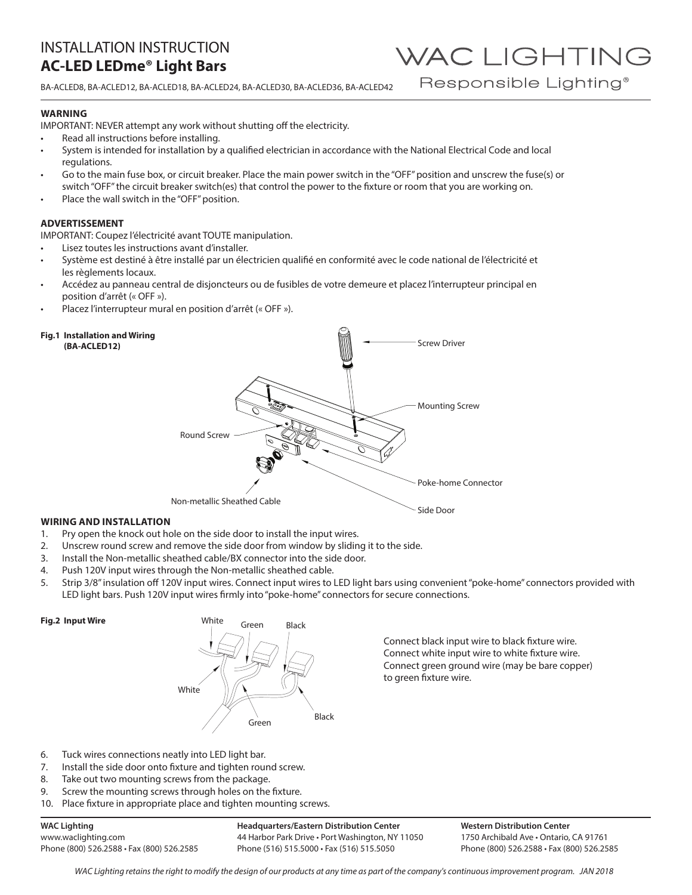BA-ACLED8, BA-ACLED12, BA-ACLED18, BA-ACLED24, BA-ACLED30, BA-ACLED36, BA-ACLED42

### **WARNING**

IMPORTANT: NEVER attempt any work without shutting off the electricity.

- Read all instructions before installing.
- System is intended for installation by a qualified electrician in accordance with the National Electrical Code and local regulations.
- Go to the main fuse box, or circuit breaker. Place the main power switch in the "OFF" position and unscrew the fuse(s) or switch "OFF" the circuit breaker switch(es) that control the power to the fixture or room that you are working on.
- Place the wall switch in the "OFF" position.

### **ADVERTISSEMENT**

IMPORTANT: Coupez l'électricité avant TOUTE manipulation.

- Lisez toutes les instructions avant d'installer.
- Système est destiné à être installé par un électricien qualifié en conformité avec le code national de l'électricité et les règlements locaux.
- Accédez au panneau central de disjoncteurs ou de fusibles de votre demeure et placez l'interrupteur principal en position d'arrêt (« OFF »).
- Placez l'interrupteur mural en position d'arrêt (« OFF »).

#### **Fig.1 Installation and Wiring (BA-ACLED12)**



# **WIRING AND INSTALLATION**

- 1. Pry open the knock out hole on the side door to install the input wires.
- 2. Unscrew round screw and remove the side door from window by sliding it to the side.
- 3. Install the Non-metallic sheathed cable/BX connector into the side door.
- 4. Push 120V input wires through the Non-metallic sheathed cable.
- 5. Strip 3/8" insulation off 120V input wires. Connect input wires to LED light bars using convenient "poke-home" connectors provided with LED light bars. Push 120V input wires firmly into "poke-home" connectors for secure connections.

### **Fig.2 Input Wire**



Connect black input wire to black fixture wire. Connect white input wire to white fixture wire. Connect green ground wire (may be bare copper) to green fixture wire.

- 6. Tuck wires connections neatly into LED light bar.
- 7. Install the side door onto fixture and tighten round screw.
- 8. Take out two mounting screws from the package.
- 9. Screw the mounting screws through holes on the fixture.
- 10. Place fixture in appropriate place and tighten mounting screws.

# **WAC Lighting**

www.waclighting.com Phone (800) 526.2588 • Fax (800) 526.2585

**Headquarters/Eastern Distribution Center** 44 Harbor Park Drive • Port Washington, NY 11050 Phone (516) 515.5000 • Fax (516) 515.5050

**Western Distribution Center**  1750 Archibald Ave • Ontario, CA 91761 Phone (800) 526.2588 • Fax (800) 526.2585

WAC LIGHTING

Responsible Lighting<sup>®</sup>